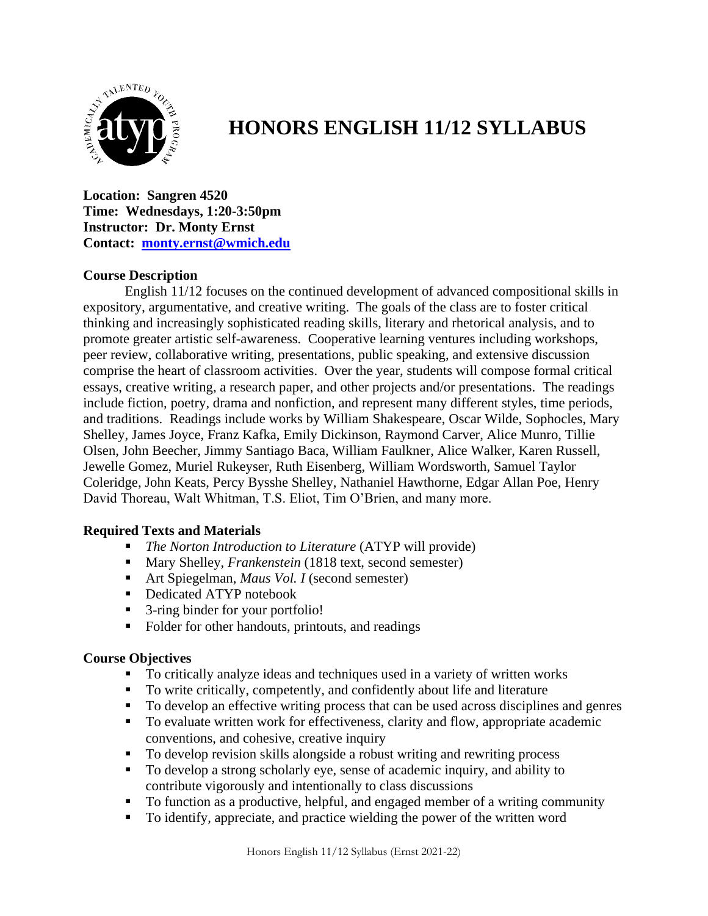

# **HONORS ENGLISH 11/12 SYLLABUS**

**Location: Sangren 4520 Time: Wednesdays, 1:20-3:50pm Instructor: Dr. Monty Ernst Contact: [monty.ernst@wmich.edu](mailto:monty.ernst@wmich.edu)**

## **Course Description**

English 11/12 focuses on the continued development of advanced compositional skills in expository, argumentative, and creative writing. The goals of the class are to foster critical thinking and increasingly sophisticated reading skills, literary and rhetorical analysis, and to promote greater artistic self-awareness. Cooperative learning ventures including workshops, peer review, collaborative writing, presentations, public speaking, and extensive discussion comprise the heart of classroom activities. Over the year, students will compose formal critical essays, creative writing, a research paper, and other projects and/or presentations. The readings include fiction, poetry, drama and nonfiction, and represent many different styles, time periods, and traditions. Readings include works by William Shakespeare, Oscar Wilde, Sophocles, Mary Shelley, James Joyce, Franz Kafka, Emily Dickinson, Raymond Carver, Alice Munro, Tillie Olsen, John Beecher, Jimmy Santiago Baca, William Faulkner, Alice Walker, Karen Russell, Jewelle Gomez, Muriel Rukeyser, Ruth Eisenberg, William Wordsworth, Samuel Taylor Coleridge, John Keats, Percy Bysshe Shelley, Nathaniel Hawthorne, Edgar Allan Poe, Henry David Thoreau, Walt Whitman, T.S. Eliot, Tim O'Brien, and many more.

## **Required Texts and Materials**

- *The Norton Introduction to Literature* (ATYP will provide)
- Mary Shelley, *Frankenstein* (1818 text, second semester)
- Art Spiegelman, *Maus Vol. I* (second semester)
- Dedicated ATYP notebook
- 3-ring binder for your portfolio!
- Folder for other handouts, printouts, and readings

## **Course Objectives**

- To critically analyze ideas and techniques used in a variety of written works
- To write critically, competently, and confidently about life and literature
- To develop an effective writing process that can be used across disciplines and genres
- To evaluate written work for effectiveness, clarity and flow, appropriate academic conventions, and cohesive, creative inquiry
- To develop revision skills alongside a robust writing and rewriting process
- To develop a strong scholarly eye, sense of academic inquiry, and ability to contribute vigorously and intentionally to class discussions
- To function as a productive, helpful, and engaged member of a writing community
- To identify, appreciate, and practice wielding the power of the written word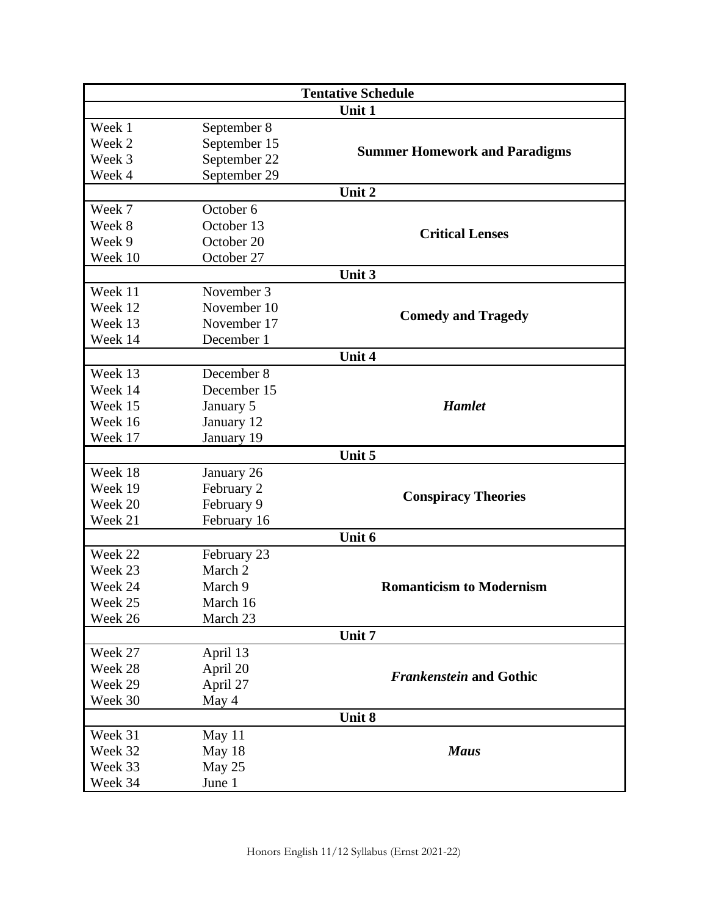| <b>Tentative Schedule</b> |              |                                      |
|---------------------------|--------------|--------------------------------------|
| Unit 1                    |              |                                      |
| Week 1                    | September 8  | <b>Summer Homework and Paradigms</b> |
| Week 2                    | September 15 |                                      |
| Week 3                    | September 22 |                                      |
| Week 4                    | September 29 |                                      |
| Unit 2                    |              |                                      |
| Week 7                    | October 6    |                                      |
| Week 8                    | October 13   | <b>Critical Lenses</b>               |
| Week 9                    | October 20   |                                      |
| Week 10                   | October 27   |                                      |
| Unit 3                    |              |                                      |
| Week 11                   | November 3   | <b>Comedy and Tragedy</b>            |
| Week 12                   | November 10  |                                      |
| Week 13                   | November 17  |                                      |
| Week 14                   | December 1   |                                      |
| Unit 4                    |              |                                      |
| Week 13                   | December 8   | <b>Hamlet</b>                        |
| Week 14                   | December 15  |                                      |
| Week 15                   | January 5    |                                      |
| Week 16                   | January 12   |                                      |
| Week 17                   | January 19   |                                      |
| Unit 5                    |              |                                      |
| Week 18                   | January 26   | <b>Conspiracy Theories</b>           |
| Week 19                   | February 2   |                                      |
| Week 20                   | February 9   |                                      |
| Week 21                   | February 16  |                                      |
| Unit 6                    |              |                                      |
| Week 22                   | February 23  | <b>Romanticism to Modernism</b>      |
| Week 23                   | March 2      |                                      |
| Week 24                   | March 9      |                                      |
| Week 25                   | March 16     |                                      |
| Week 26                   | March 23     |                                      |
| Unit 7                    |              |                                      |
| Week 27                   | April 13     | <b>Frankenstein and Gothic</b>       |
| Week 28                   | April 20     |                                      |
| Week 29                   | April 27     |                                      |
| Week 30                   | May 4        |                                      |
| Unit 8                    |              |                                      |
| Week 31                   | May 11       | <b>Maus</b>                          |
| Week 32                   | May 18       |                                      |
| Week 33                   | May 25       |                                      |
| Week 34                   | June 1       |                                      |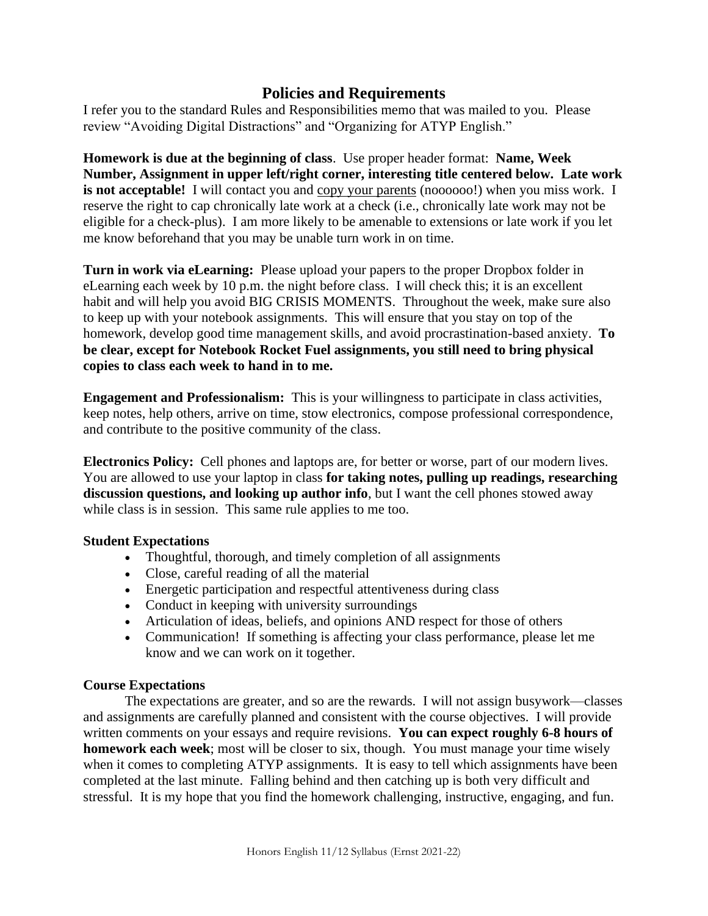## **Policies and Requirements**

I refer you to the standard Rules and Responsibilities memo that was mailed to you. Please review "Avoiding Digital Distractions" and "Organizing for ATYP English."

**Homework is due at the beginning of class**. Use proper header format: **Name, Week Number, Assignment in upper left/right corner, interesting title centered below. Late work is not acceptable!** I will contact you and copy your parents (noooooo!) when you miss work. I reserve the right to cap chronically late work at a check (i.e., chronically late work may not be eligible for a check-plus). I am more likely to be amenable to extensions or late work if you let me know beforehand that you may be unable turn work in on time.

**Turn in work via eLearning:** Please upload your papers to the proper Dropbox folder in eLearning each week by 10 p.m. the night before class. I will check this; it is an excellent habit and will help you avoid BIG CRISIS MOMENTS. Throughout the week, make sure also to keep up with your notebook assignments. This will ensure that you stay on top of the homework, develop good time management skills, and avoid procrastination-based anxiety. **To be clear, except for Notebook Rocket Fuel assignments, you still need to bring physical copies to class each week to hand in to me.**

**Engagement and Professionalism:** This is your willingness to participate in class activities, keep notes, help others, arrive on time, stow electronics, compose professional correspondence, and contribute to the positive community of the class.

**Electronics Policy:** Cell phones and laptops are, for better or worse, part of our modern lives. You are allowed to use your laptop in class **for taking notes, pulling up readings, researching discussion questions, and looking up author info**, but I want the cell phones stowed away while class is in session. This same rule applies to me too.

## **Student Expectations**

- Thoughtful, thorough, and timely completion of all assignments
- Close, careful reading of all the material
- Energetic participation and respectful attentiveness during class
- Conduct in keeping with university surroundings
- Articulation of ideas, beliefs, and opinions AND respect for those of others
- Communication! If something is affecting your class performance, please let me know and we can work on it together.

## **Course Expectations**

The expectations are greater, and so are the rewards. I will not assign busywork—classes and assignments are carefully planned and consistent with the course objectives. I will provide written comments on your essays and require revisions. **You can expect roughly 6-8 hours of homework each week**; most will be closer to six, though. You must manage your time wisely when it comes to completing ATYP assignments. It is easy to tell which assignments have been completed at the last minute. Falling behind and then catching up is both very difficult and stressful. It is my hope that you find the homework challenging, instructive, engaging, and fun.